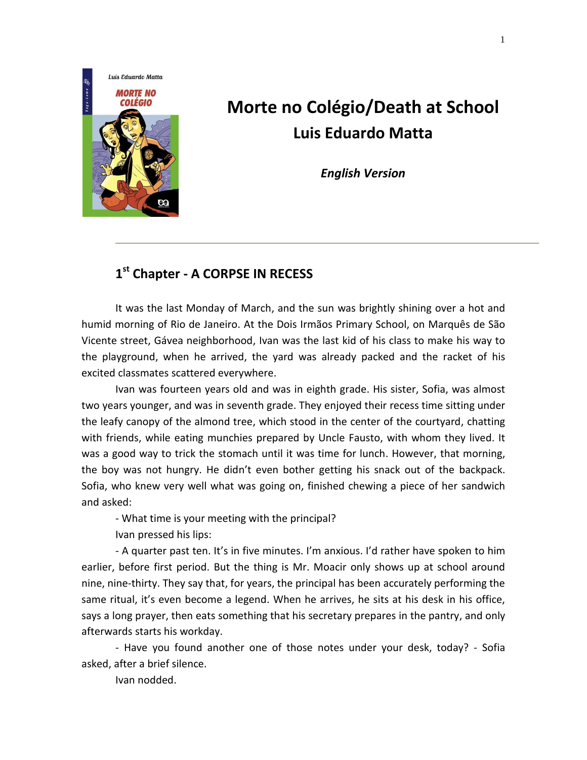

## **Morte no Colégio/Death at School Luis Eduardo Matta**

*English Version*

## **1 st Chapter - A CORPSE IN RECESS**

It was the last Monday of March, and the sun was brightly shining over a hot and humid morning of Rio de Janeiro. At the Dois Irmãos Primary School, on Marquês de São Vicente street, Gávea neighborhood, Ivan was the last kid of his class to make his way to the playground, when he arrived, the yard was already packed and the racket of his excited classmates scattered everywhere.

Ivan was fourteen years old and was in eighth grade. His sister, Sofia, was almost two years younger, and was in seventh grade. They enjoyed their recess time sitting under the leafy canopy of the almond tree, which stood in the center of the courtyard, chatting with friends, while eating munchies prepared by Uncle Fausto, with whom they lived. It was a good way to trick the stomach until it was time for lunch. However, that morning, the boy was not hungry. He didn't even bother getting his snack out of the backpack. Sofia, who knew very well what was going on, finished chewing a piece of her sandwich and asked:

- What time is your meeting with the principal?

Ivan pressed his lips:

- A quarter past ten. It's in five minutes. I'm anxious. I'd rather have spoken to him earlier, before first period. But the thing is Mr. Moacir only shows up at school around nine, nine-thirty. They say that, for years, the principal has been accurately performing the same ritual, it's even become a legend. When he arrives, he sits at his desk in his office, says a long prayer, then eats something that his secretary prepares in the pantry, and only afterwards starts his workday.

- Have you found another one of those notes under your desk, today? - Sofia asked, after a brief silence.

Ivan nodded.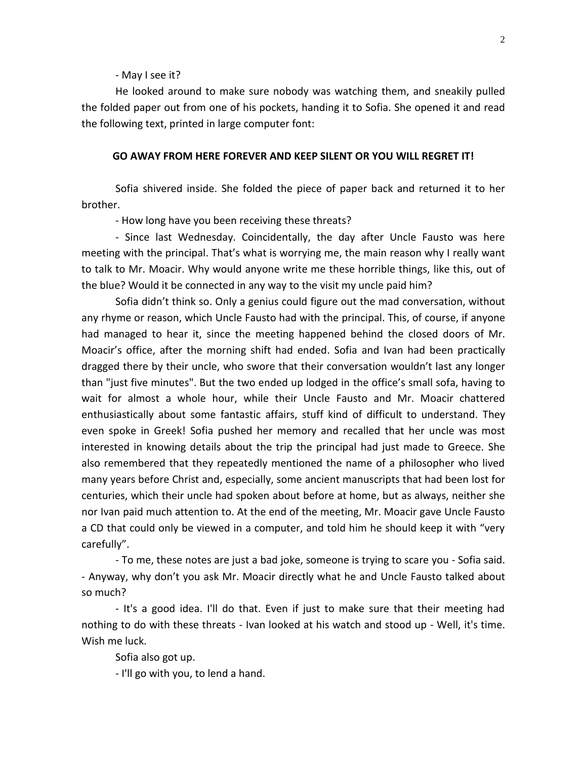- May I see it?

He looked around to make sure nobody was watching them, and sneakily pulled the folded paper out from one of his pockets, handing it to Sofia. She opened it and read the following text, printed in large computer font:

## **GO AWAY FROM HERE FOREVER AND KEEP SILENT OR YOU WILL REGRET IT!**

Sofia shivered inside. She folded the piece of paper back and returned it to her brother.

- How long have you been receiving these threats?

- Since last Wednesday. Coincidentally, the day after Uncle Fausto was here meeting with the principal. That's what is worrying me, the main reason why I really want to talk to Mr. Moacir. Why would anyone write me these horrible things, like this, out of the blue? Would it be connected in any way to the visit my uncle paid him?

Sofia didn't think so. Only a genius could figure out the mad conversation, without any rhyme or reason, which Uncle Fausto had with the principal. This, of course, if anyone had managed to hear it, since the meeting happened behind the closed doors of Mr. Moacir's office, after the morning shift had ended. Sofia and Ivan had been practically dragged there by their uncle, who swore that their conversation wouldn't last any longer than "just five minutes". But the two ended up lodged in the office's small sofa, having to wait for almost a whole hour, while their Uncle Fausto and Mr. Moacir chattered enthusiastically about some fantastic affairs, stuff kind of difficult to understand. They even spoke in Greek! Sofia pushed her memory and recalled that her uncle was most interested in knowing details about the trip the principal had just made to Greece. She also remembered that they repeatedly mentioned the name of a philosopher who lived many years before Christ and, especially, some ancient manuscripts that had been lost for centuries, which their uncle had spoken about before at home, but as always, neither she nor Ivan paid much attention to. At the end of the meeting, Mr. Moacir gave Uncle Fausto a CD that could only be viewed in a computer, and told him he should keep it with "very carefully".

- To me, these notes are just a bad joke, someone is trying to scare you - Sofia said. - Anyway, why don't you ask Mr. Moacir directly what he and Uncle Fausto talked about so much?

- It's a good idea. I'll do that. Even if just to make sure that their meeting had nothing to do with these threats - Ivan looked at his watch and stood up - Well, it's time. Wish me luck.

Sofia also got up.

- I'll go with you, to lend a hand.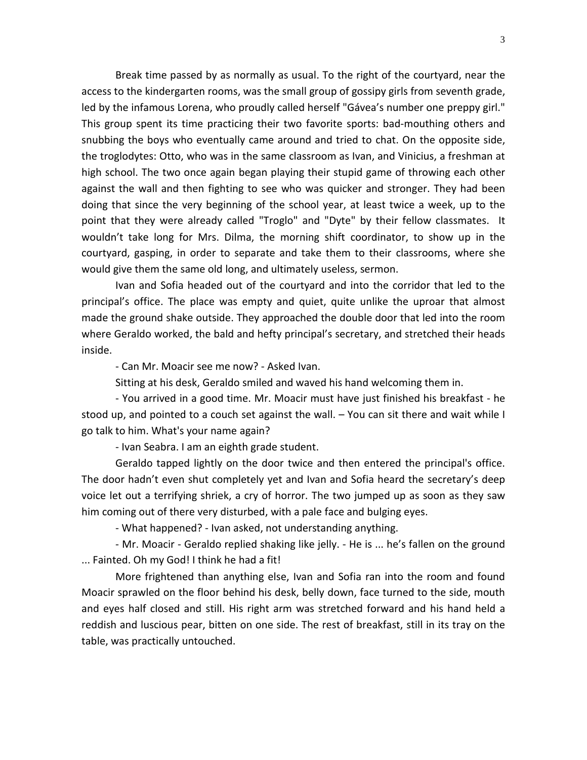Break time passed by as normally as usual. To the right of the courtyard, near the access to the kindergarten rooms, was the small group of gossipy girls from seventh grade, led by the infamous Lorena, who proudly called herself "Gávea's number one preppy girl." This group spent its time practicing their two favorite sports: bad-mouthing others and snubbing the boys who eventually came around and tried to chat. On the opposite side, the troglodytes: Otto, who was in the same classroom as Ivan, and Vinicius, a freshman at high school. The two once again began playing their stupid game of throwing each other against the wall and then fighting to see who was quicker and stronger. They had been doing that since the very beginning of the school year, at least twice a week, up to the point that they were already called "Troglo" and "Dyte" by their fellow classmates. It wouldn't take long for Mrs. Dilma, the morning shift coordinator, to show up in the courtyard, gasping, in order to separate and take them to their classrooms, where she would give them the same old long, and ultimately useless, sermon.

Ivan and Sofia headed out of the courtyard and into the corridor that led to the principal's office. The place was empty and quiet, quite unlike the uproar that almost made the ground shake outside. They approached the double door that led into the room where Geraldo worked, the bald and hefty principal's secretary, and stretched their heads inside.

- Can Mr. Moacir see me now? - Asked Ivan.

Sitting at his desk, Geraldo smiled and waved his hand welcoming them in.

- You arrived in a good time. Mr. Moacir must have just finished his breakfast - he stood up, and pointed to a couch set against the wall. – You can sit there and wait while I go talk to him. What's your name again?

- Ivan Seabra. I am an eighth grade student.

Geraldo tapped lightly on the door twice and then entered the principal's office. The door hadn't even shut completely yet and Ivan and Sofia heard the secretary's deep voice let out a terrifying shriek, a cry of horror. The two jumped up as soon as they saw him coming out of there very disturbed, with a pale face and bulging eyes.

- What happened? - Ivan asked, not understanding anything.

- Mr. Moacir - Geraldo replied shaking like jelly. - He is ... he's fallen on the ground ... Fainted. Oh my God! I think he had a fit!

More frightened than anything else, Ivan and Sofia ran into the room and found Moacir sprawled on the floor behind his desk, belly down, face turned to the side, mouth and eyes half closed and still. His right arm was stretched forward and his hand held a reddish and luscious pear, bitten on one side. The rest of breakfast, still in its tray on the table, was practically untouched.